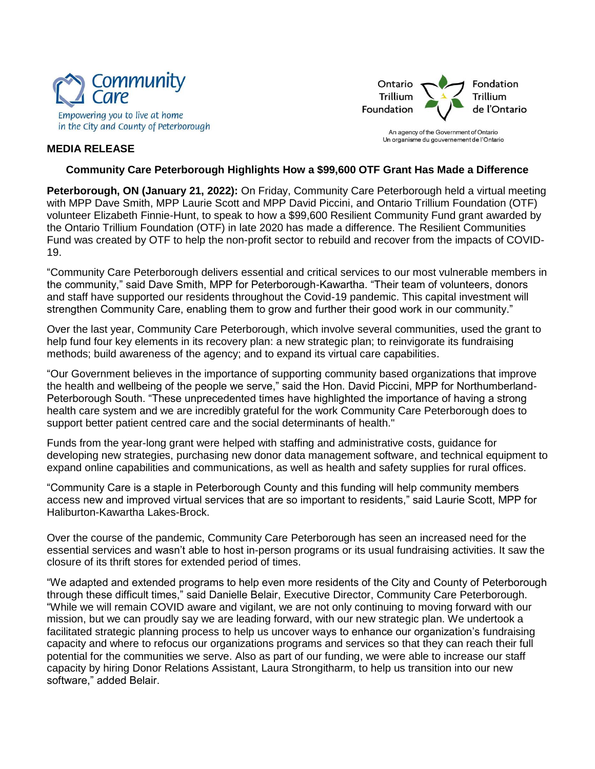



An agency of the Government of Ontario Un organisme du gouvernement de l'Ontario

## **MEDIA RELEASE**

## **Community Care Peterborough Highlights How a \$99,600 OTF Grant Has Made a Difference**

**Peterborough, ON (January 21, 2022):** On Friday, Community Care Peterborough held a virtual meeting with MPP Dave Smith, MPP Laurie Scott and MPP David Piccini, and Ontario Trillium Foundation (OTF) volunteer Elizabeth Finnie-Hunt, to speak to how a \$99,600 Resilient Community Fund grant awarded by the Ontario Trillium Foundation (OTF) in late 2020 has made a difference. The Resilient Communities Fund was created by OTF to help the non-profit sector to rebuild and recover from the impacts of COVID-19.

"Community Care Peterborough delivers essential and critical services to our most vulnerable members in the community," said Dave Smith, MPP for Peterborough-Kawartha. "Their team of volunteers, donors and staff have supported our residents throughout the Covid-19 pandemic. This capital investment will strengthen Community Care, enabling them to grow and further their good work in our community."

Over the last year, Community Care Peterborough, which involve several communities, used the grant to help fund four key elements in its recovery plan: a new strategic plan; to reinvigorate its fundraising methods; build awareness of the agency; and to expand its virtual care capabilities.

"Our Government believes in the importance of supporting community based organizations that improve the health and wellbeing of the people we serve," said the Hon. David Piccini, MPP for Northumberland-Peterborough South. "These unprecedented times have highlighted the importance of having a strong health care system and we are incredibly grateful for the work Community Care Peterborough does to support better patient centred care and the social determinants of health."

Funds from the year-long grant were helped with staffing and administrative costs, guidance for developing new strategies, purchasing new donor data management software, and technical equipment to expand online capabilities and communications, as well as health and safety supplies for rural offices.

"Community Care is a staple in Peterborough County and this funding will help community members access new and improved virtual services that are so important to residents," said Laurie Scott, MPP for Haliburton-Kawartha Lakes-Brock.

Over the course of the pandemic, Community Care Peterborough has seen an increased need for the essential services and wasn't able to host in-person programs or its usual fundraising activities. It saw the closure of its thrift stores for extended period of times.

"We adapted and extended programs to help even more residents of the City and County of Peterborough through these difficult times," said Danielle Belair, Executive Director, Community Care Peterborough. "While we will remain COVID aware and vigilant, we are not only continuing to moving forward with our mission, but we can proudly say we are leading forward, with our new strategic plan. We undertook a facilitated strategic planning process to help us uncover ways to enhance our organization's fundraising capacity and where to refocus our organizations programs and services so that they can reach their full potential for the communities we serve. Also as part of our funding, we were able to increase our staff capacity by hiring Donor Relations Assistant, Laura Strongitharm, to help us transition into our new software," added Belair.